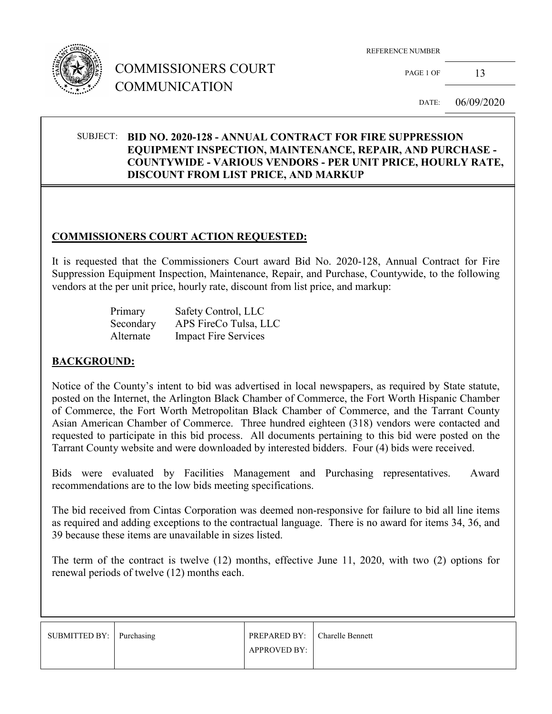

# COMMISSIONERS COURT COMMUNICATION

REFERENCE NUMBER

PAGE 1 OF  $13$ 

DATE: 06/09/2020

### SUBJECT: **BID NO. 2020-128 - ANNUAL CONTRACT FOR FIRE SUPPRESSION EQUIPMENT INSPECTION, MAINTENANCE, REPAIR, AND PURCHASE - COUNTYWIDE - VARIOUS VENDORS - PER UNIT PRICE, HOURLY RATE, DISCOUNT FROM LIST PRICE, AND MARKUP**

### **COMMISSIONERS COURT ACTION REQUESTED:**

It is requested that the Commissioners Court award Bid No. 2020-128, Annual Contract for Fire Suppression Equipment Inspection, Maintenance, Repair, and Purchase, Countywide, to the following vendors at the per unit price, hourly rate, discount from list price, and markup:

| Primary   | Safety Control, LLC         |
|-----------|-----------------------------|
| Secondary | APS FireCo Tulsa, LLC       |
| Alternate | <b>Impact Fire Services</b> |

### **BACKGROUND:**

Notice of the County's intent to bid was advertised in local newspapers, as required by State statute, posted on the Internet, the Arlington Black Chamber of Commerce, the Fort Worth Hispanic Chamber of Commerce, the Fort Worth Metropolitan Black Chamber of Commerce, and the Tarrant County Asian American Chamber of Commerce. Three hundred eighteen (318) vendors were contacted and requested to participate in this bid process. All documents pertaining to this bid were posted on the Tarrant County website and were downloaded by interested bidders. Four (4) bids were received.

Bids were evaluated by Facilities Management and Purchasing representatives. Award recommendations are to the low bids meeting specifications.

The bid received from Cintas Corporation was deemed non-responsive for failure to bid all line items as required and adding exceptions to the contractual language. There is no award for items 34, 36, and 39 because these items are unavailable in sizes listed.

The term of the contract is twelve (12) months, effective June 11, 2020, with two (2) options for renewal periods of twelve (12) months each.

| SUBMITTED BY: Purchasing | <b>PREPARED BY:</b> Charelle Bennett |  |
|--------------------------|--------------------------------------|--|
|                          | <b>APPROVED BY:</b>                  |  |